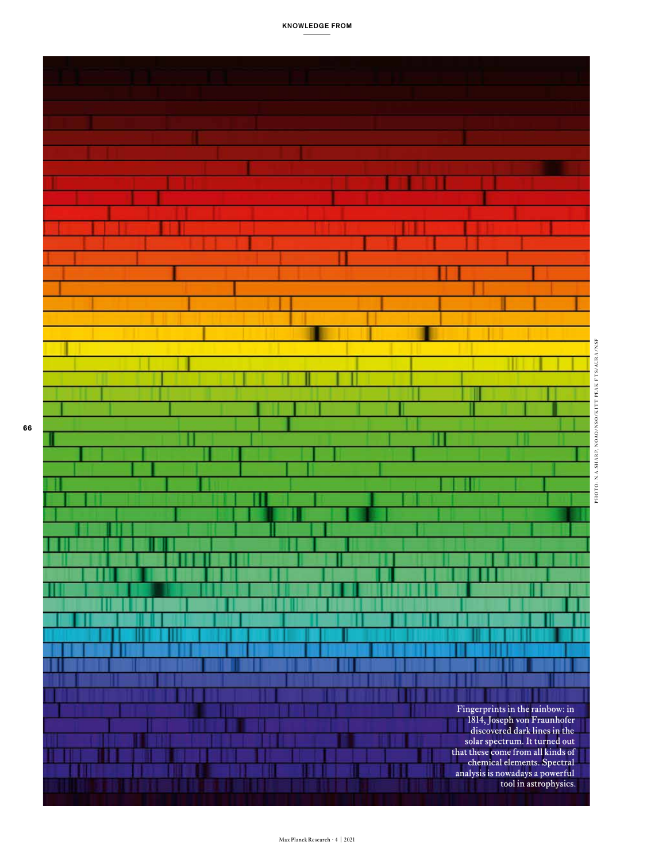

PHOTO: N.A.SH A R P, NOAO/NSO/K IT T PEA K F TS/AU R A/NSF

PHOTO: N.A.SHARP, NOAO/NSO/KITT PEAK FTS/AURA/NSF

KNOWLEDGE FROM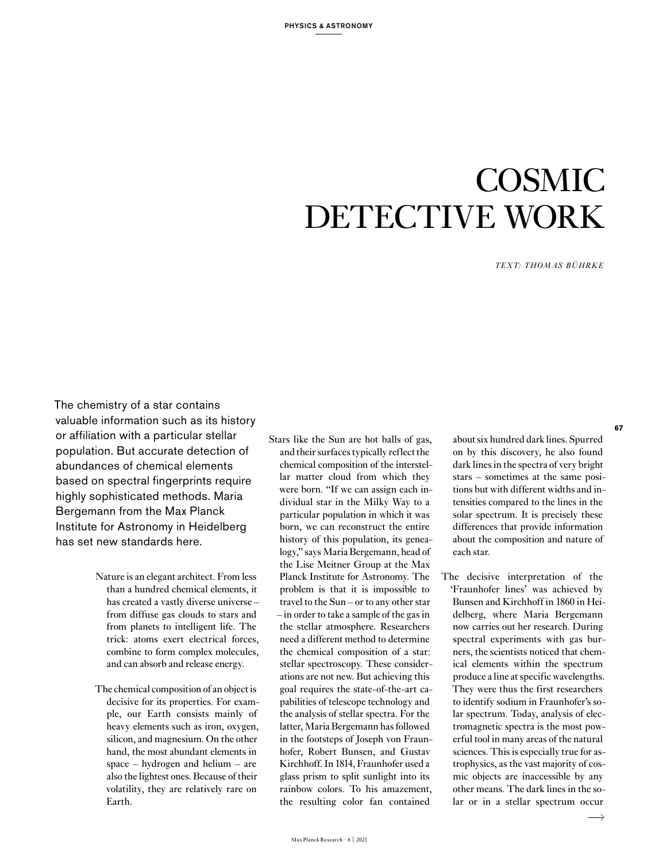## COSMIC DETECTIVE WORK

*TEXT: THOMAS BÜHRKE* 

The chemistry of a star contains valuable information such as its history or affiliation with a particular stellar population. But accurate detection of abundances of chemical elements based on spectral fingerprints require highly sophisticated methods. Maria Bergemann from the Max Planck Institute for Astronomy in Heidelberg has set new standards here.

- Nature is an elegant architect. From less than a hundred chemical elements, it has created a vastly diverse universe – from diffuse gas clouds to stars and from planets to intelligent life. The trick: atoms exert electrical forces, combine to form complex molecules, and can absorb and release energy.
- The chemical composition of an object is decisive for its properties. For example, our Earth consists mainly of heavy elements such as iron, oxygen, silicon, and magnesium. On the other hand, the most abundant elements in space – hydrogen and helium – are also the lightest ones. Because of their volatility, they are relatively rare on Earth.

Stars like the Sun are hot balls of gas, and their surfaces typically reflect the chemical composition of the interstellar matter cloud from which they were born. "If we can assign each individual star in the Milky Way to a particular population in which it was born, we can reconstruct the entire history of this population, its genealogy," says Maria Bergemann, head of the Lise Meitner Group at the Max Planck Institute for Astronomy. The problem is that it is impossible to travel to the Sun – or to any other star – in order to take a sample of the gas in the stellar atmosphere. Researchers need a different method to determine the chemical composition of a star: stellar spectroscopy. These considerations are not new. But achieving this goal requires the state-of-the-art capabilities of telescope technology and the analysis of stellar spectra. For the latter, Maria Bergemann has followed in the footsteps of Joseph von Fraunhofer, Robert Bunsen, and Gustav Kirchhoff. In 1814, Fraunhofer used a glass prism to split sunlight into its rainbow colors. To his amazement, the resulting color fan contained

about six hundred dark lines. Spurred on by this discovery, he also found dark lines in the spectra of very bright stars – sometimes at the same positions but with different widths and intensities compared to the lines in the solar spectrum. It is precisely these differences that provide information about the composition and nature of each star.

The decisive interpretation of the 'Fraunhofer lines' was achieved by Bunsen and Kirchhoff in 1860 in Heidelberg, where Maria Bergemann now carries out her research. During spectral experiments with gas burners, the scientists noticed that chemical elements within the spectrum produce a line at specific wavelengths. They were thus the first researchers to identify sodium in Fraunhofer's solar spectrum. Today, analysis of electromagnetic spectra is the most powerful tool in many areas of the natural sciences. This is especially true for astrophysics, as the vast majority of cosmic objects are inaccessible by any other means. The dark lines in the solar or in a stellar spectrum occur

 $\longrightarrow$ 

**67**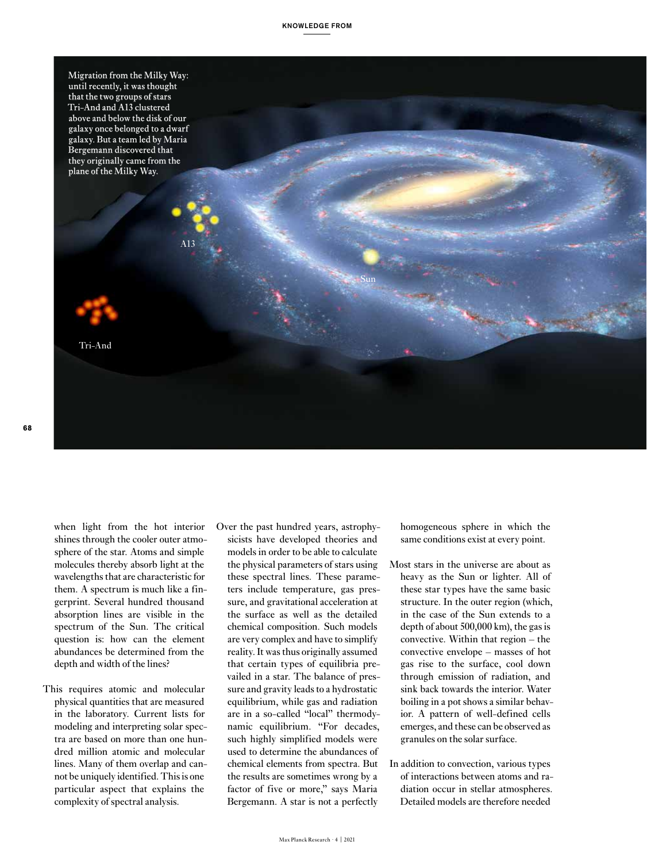

when light from the hot interior shines through the cooler outer atmosphere of the star. Atoms and simple molecules thereby absorb light at the wavelengths that are characteristic for them. A spectrum is much like a fingerprint. Several hundred thousand absorption lines are visible in the spectrum of the Sun. The critical question is: how can the element abundances be determined from the depth and width of the lines?

- This requires atomic and molecular physical quantities that are measured in the laboratory. Current lists for modeling and interpreting solar spectra are based on more than one hundred million atomic and molecular lines. Many of them overlap and cannot be uniquely identified. This is one particular aspect that explains the complexity of spectral analysis.
- Over the past hundred years, astrophysicists have developed theories and models in order to be able to calculate the physical parameters of stars using these spectral lines. These parameters include temperature, gas pressure, and gravitational acceleration at the surface as well as the detailed chemical composition. Such models are very complex and have to simplify reality. It was thus originally assumed that certain types of equilibria prevailed in a star. The balance of pressure and gravity leads to a hydrostatic equilibrium, while gas and radiation are in a so-called "local" thermodynamic equilibrium. "For decades, such highly simplified models were used to determine the abundances of chemical elements from spectra. But the results are sometimes wrong by a factor of five or more," says Maria Bergemann. A star is not a perfectly

homogeneous sphere in which the same conditions exist at every point.

- Most stars in the universe are about as heavy as the Sun or lighter. All of these star types have the same basic structure. In the outer region (which, in the case of the Sun extends to a depth of about 500,000 km), the gas is convective. Within that region – the convective envelope – masses of hot gas rise to the surface, cool down through emission of radiation, and sink back towards the interior. Water boiling in a pot shows a similar behavior. A pattern of well-defined cells emerges, and these can be observed as granules on the solar surface.
- In addition to convection, various types of interactions between atoms and radiation occur in stellar atmospheres. Detailed models are therefore needed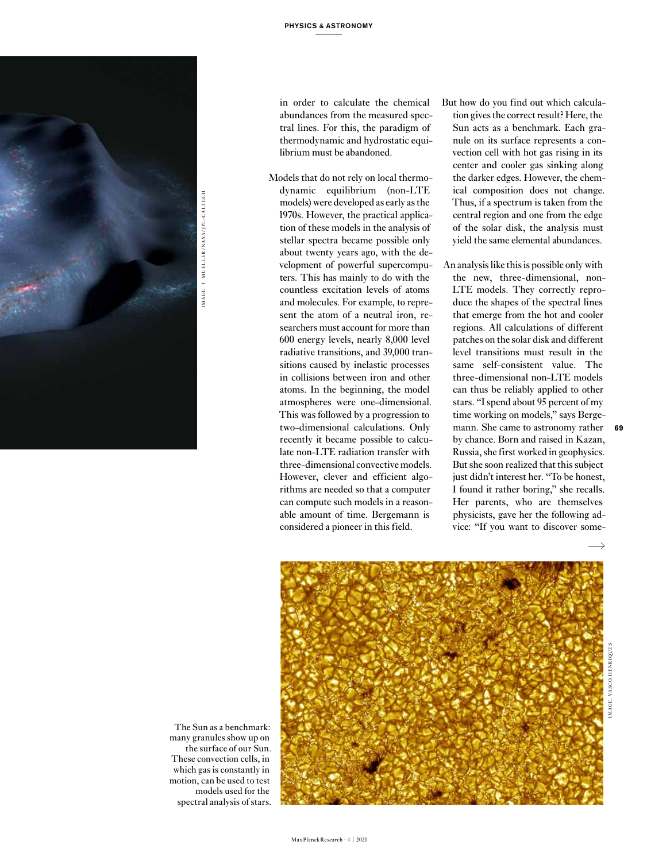

in order to calculate the chemical abundances from the measured spectral lines. For this, the paradigm of thermodynamic and hydrostatic equilibrium must be abandoned.

- Models that do not rely on local thermodynamic equilibrium (non-LTE models) were developed as early as the 1970s. However, the practical application of these models in the analysis of stellar spectra became possible only about twenty years ago, with the development of powerful supercomputers. This has mainly to do with the countless excitation levels of atoms and molecules. For example, to represent the atom of a neutral iron, researchers must account for more than 600 energy levels, nearly 8,000 level radiative transitions, and 39,000 transitions caused by inelastic processes in collisions between iron and other atoms. In the beginning, the model atmospheres were one-dimensional. This was followed by a progression to two-dimensional calculations. Only recently it became possible to calculate non-LTE radiation transfer with three-dimensional convective models. However, clever and efficient algorithms are needed so that a computer can compute such models in a reasonable amount of time. Bergemann is considered a pioneer in this field.
- But how do you find out which calculation gives the correct result? Here, the Sun acts as a benchmark. Each granule on its surface represents a convection cell with hot gas rising in its center and cooler gas sinking along the darker edges. However, the chemical composition does not change. Thus, if a spectrum is taken from the central region and one from the edge of the solar disk, the analysis must yield the same elemental abundances.
- An analysis like this is possible only with the new, three-dimensional, non-LTE models. They correctly reproduce the shapes of the spectral lines that emerge from the hot and cooler regions. All calculations of different patches on the solar disk and different level transitions must result in the same self-consistent value. The three-dimensional non-LTE models can thus be reliably applied to other stars. "I spend about 95 percent of my time working on models," says Bergemann. She came to astronomy rather by chance. Born and raised in Kazan, Russia, she first worked in geophysics. But she soon realized that this subject just didn't interest her. "To be honest, I found it rather boring," she recalls. Her parents, who are themselves physicists, gave her the following advice: "If you want to discover some-



The Sun as a benchmark: many granules show up on the surface of our Sun. These convection cells, in which gas is constantly in motion, can be used to test models used for the spectral analysis of stars.  $\rightarrow$ 

**69**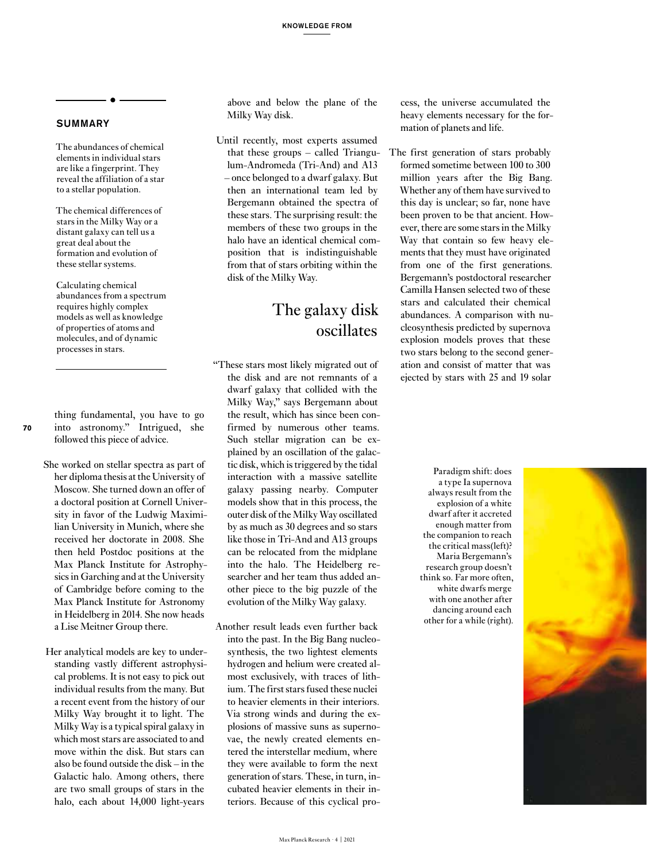## **SUMMARY**

The abundances of chemical elements in individual stars are like a fingerprint. They reveal the affiliation of a star to a stellar population.

The chemical differences of stars in the Milky Way or a distant galaxy can tell us a great deal about the formation and evolution of these stellar systems.

Calculating chemical abundances from a spectrum requires highly complex models as well as knowledge of properties of atoms and molecules, and of dynamic processes in stars.

thing fundamental, you have to go into astronomy." Intrigued, she followed this piece of advice.

**70**

- She worked on stellar spectra as part of her diploma thesis at the University of Moscow. She turned down an offer of a doctoral position at Cornell University in favor of the Ludwig Maximilian University in Munich, where she received her doctorate in 2008. She then held Postdoc positions at the Max Planck Institute for Astrophysics in Garching and at the University of Cambridge before coming to the Max Planck Institute for Astronomy in Heidelberg in 2014. She now heads a Lise Meitner Group there.
- Her analytical models are key to understanding vastly different astrophysical problems. It is not easy to pick out individual results from the many. But a recent event from the history of our Milky Way brought it to light. The Milky Way is a typical spiral galaxy in which most stars are associated to and move within the disk. But stars can also be found outside the disk – in the Galactic halo. Among others, there are two small groups of stars in the halo, each about 14,000 light-years

above and below the plane of the Milky Way disk.

Until recently, most experts assumed that these groups – called Triangulum-Andromeda (Tri-And) and A13 – once belonged to a dwarf galaxy. But then an international team led by Bergemann obtained the spectra of these stars. The surprising result: the members of these two groups in the halo have an identical chemical composition that is indistinguishable from that of stars orbiting within the disk of the Milky Way.

## The galaxy disk oscillates

"These stars most likely migrated out of the disk and are not remnants of a dwarf galaxy that collided with the Milky Way," says Bergemann about the result, which has since been confirmed by numerous other teams. Such stellar migration can be explained by an oscillation of the galactic disk, which is triggered by the tidal interaction with a massive satellite galaxy passing nearby. Computer models show that in this process, the outer disk of the Milky Way oscillated by as much as 30 degrees and so stars like those in Tri-And and A13 groups can be relocated from the midplane into the halo. The Heidelberg researcher and her team thus added another piece to the big puzzle of the evolution of the Milky Way galaxy.

Another result leads even further back into the past. In the Big Bang nucleosynthesis, the two lightest elements hydrogen and helium were created almost exclusively, with traces of lithium. The first stars fused these nuclei to heavier elements in their interiors. Via strong winds and during the explosions of massive suns as supernovae, the newly created elements entered the interstellar medium, where they were available to form the next generation of stars. These, in turn, incubated heavier elements in their interiors. Because of this cyclical process, the universe accumulated the heavy elements necessary for the formation of planets and life.

The first generation of stars probably formed sometime between 100 to 300 million years after the Big Bang. Whether any of them have survived to this day is unclear; so far, none have been proven to be that ancient. However, there are some stars in the Milky Way that contain so few heavy elements that they must have originated from one of the first generations. Bergemann's postdoctoral researcher Camilla Hansen selected two of these stars and calculated their chemical abundances. A comparison with nucleosynthesis predicted by supernova explosion models proves that these two stars belong to the second generation and consist of matter that was ejected by stars with 25 and 19 solar

> Paradigm shift: does a type Ia supernova always result from the explosion of a white dwarf after it accreted enough matter from the companion to reach the critical mass(left)? Maria Bergemann's research group doesn't think so. Far more often, white dwarfs merge with one another after dancing around each other for a while (right).

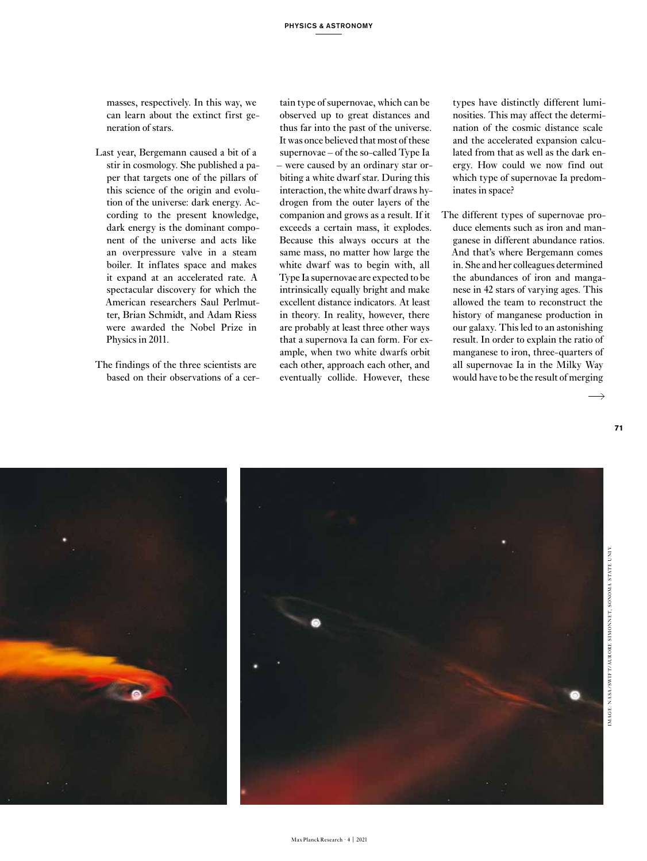masses, respectively. In this way, we can learn about the extinct first generation of stars.

- Last year, Bergemann caused a bit of a stir in cosmology. She published a paper that targets one of the pillars of this science of the origin and evolution of the universe: dark energy. According to the present knowledge, dark energy is the dominant component of the universe and acts like an overpressure valve in a steam boiler. It inflates space and makes it expand at an accelerated rate. A spectacular discovery for which the American researchers Saul Perlmutter, Brian Schmidt, and Adam Riess were awarded the Nobel Prize in Physics in 2011.
- The findings of the three scientists are based on their observations of a cer-

tain type of supernovae, which can be observed up to great distances and thus far into the past of the universe. It was once believed that most of these supernovae – of the so-called Type Ia – were caused by an ordinary star orbiting a white dwarf star. During this interaction, the white dwarf draws hydrogen from the outer layers of the companion and grows as a result. If it exceeds a certain mass, it explodes. Because this always occurs at the same mass, no matter how large the white dwarf was to begin with, all Type Ia supernovae are expected to be intrinsically equally bright and make excellent distance indicators. At least in theory. In reality, however, there are probably at least three other ways that a supernova Ia can form. For example, when two white dwarfs orbit each other, approach each other, and eventually collide. However, these

types have distinctly different luminosities. This may affect the determination of the cosmic distance scale and the accelerated expansion calculated from that as well as the dark energy. How could we now find out which type of supernovae Ia predominates in space?

The different types of supernovae produce elements such as iron and manganese in different abundance ratios. And that's where Bergemann comes in. She and her colleagues determined the abundances of iron and manganese in 42 stars of varying ages. This allowed the team to reconstruct the history of manganese production in our galaxy. This led to an astonishing result. In order to explain the ratio of manganese to iron, three-quarters of all supernovae Ia in the Milky Way would have to be the result of merging



**71**

 $\overline{\phantom{a}}$